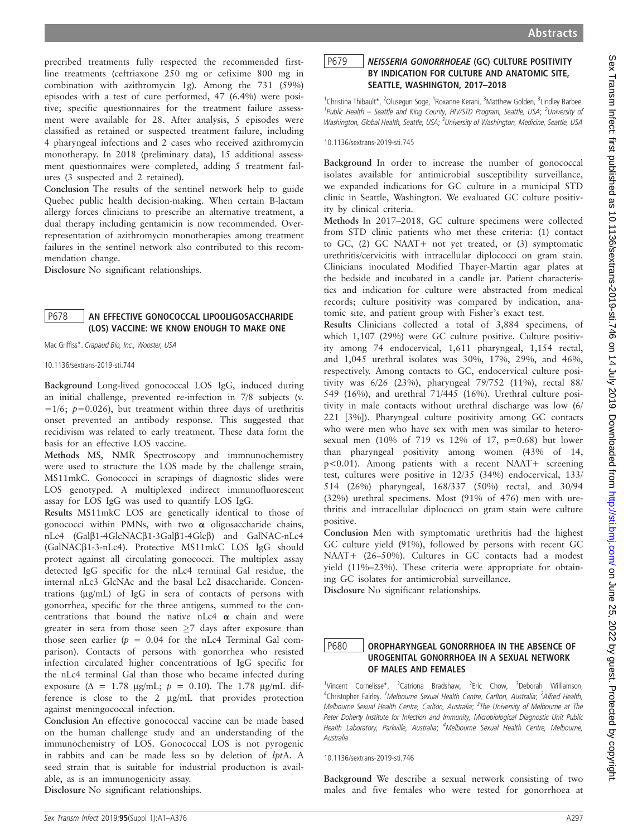precribed treatments fully respected the recommended firstline treatments (ceftriaxone 250 mg or cefixime 800 mg in combination with azithromycin 1g). Among the 731 (59%) episodes with a test of cure performed, 47 (6.4%) were positive; specific questionnaires for the treatment failure assessment were available for 28. After analysis, 5 episodes were classified as retained or suspected treatment failure, including 4 pharyngeal infections and 2 cases who received azithromycin monotherapy. In 2018 (preliminary data), 15 additional assessment questionnaires were completed, adding 5 treatment failures (3 suspected and 2 retained).

Conclusion The results of the sentinel network help to guide Quebec public health decision-making. When certain B-lactam allergy forces clinicians to prescribe an alternative treatment, a dual therapy including gentamicin is now recommended. Overrepresentation of azithromycin monotherapies among treatment failures in the sentinel network also contributed to this recommendation change.

Disclosure No significant relationships.

# P678 AN EFFECTIVE GONOCOCCAL LIPOOLIGOSACCHARIDE (LOS) VACCINE: WE KNOW ENOUGH TO MAKE ONE

Mac Griffiss\*. Crapaud Bio, Inc., Wooster, USA

10.1136/sextrans-2019-sti.744

Background Long-lived gonococcal LOS IgG, induced during an initial challenge, prevented re-infection in 7/8 subjects (v.  $=1/6$ ;  $p=0.026$ ), but treatment within three days of urethritis onset prevented an antibody response. This suggested that recidivism was related to early treatment. These data form the basis for an effective LOS vaccine.

Methods MS, NMR Spectroscopy and immnunochemistry were used to structure the LOS made by the challenge strain, MS11mkC. Gonococci in scrapings of diagnostic slides were LOS genotyped. A multiplexed indirect immunofluorescent assay for LOS IgG was used to quantify LOS IgG.

Results MS11mkC LOS are genetically identical to those of gonococci within PMNs, with two  $\alpha$  oligosaccharide chains, nLc4 (Galß1-4GlcNACß1-3Galß1-4Glcß) and GalNAC-nLc4 (GalNACb1-3-nLc4). Protective MS11mkC LOS IgG should protect against all circulating gonococci. The multiplex assay detected IgG specific for the nLc4 terminal Gal residue, the internal nLc3 GlcNAc and the basal Lc2 disaccharide. Concentrations (mg/mL) of IgG in sera of contacts of persons with gonorrhea, specific for the three antigens, summed to the concentrations that bound the native nLc4  $\alpha$  chain and were greater in sera from those seen  $\geq 7$  days after exposure than those seen earlier ( $p = 0.04$  for the nLc4 Terminal Gal comparison). Contacts of persons with gonorrhea who resisted infection circulated higher concentrations of IgG specific for the nLc4 terminal Gal than those who became infected during exposure ( $\Delta = 1.78$  µg/mL;  $p = 0.10$ ). The 1.78 µg/mL difference is close to the 2 mg/mL that provides protection against meningococcal infection.

Conclusion An effective gonococcal vaccine can be made based on the human challenge study and an understanding of the immunochemistry of LOS. Gonococcal LOS is not pyrogenic in rabbits and can be made less so by deletion of lptA. A seed strain that is suitable for industrial production is available, as is an immunogenicity assay. Disclosure No significant relationships.

P679 NEISSERIA GONORRHOEAE (GC) CULTURE POSITIVITY BY INDICATION FOR CULTURE AND ANATOMIC SITE, SEATTLE, WASHINGTON, 2017–2018

<sup>1</sup>Christina Thibault\*, <sup>2</sup>Olusegun Soge, <sup>1</sup>Roxanne Kerani, <sup>3</sup>Matthew Golden, <sup>3</sup>Lindley Barbee. <sup>1</sup>Public Health - Seattle and King County, HIV/STD Program, Seattle, USA; <sup>2</sup>University of Washington, Global Health, Seattle, USA; <sup>3</sup>University of Washington, Medicine, Seattle, USA

10.1136/sextrans-2019-sti.745

Background In order to increase the number of gonococcal isolates available for antimicrobial susceptibility surveillance, we expanded indications for GC culture in a municipal STD clinic in Seattle, Washington. We evaluated GC culture positivity by clinical criteria.

Methods In 2017–2018, GC culture specimens were collected from STD clinic patients who met these criteria: (1) contact to GC, (2) GC NAAT+ not yet treated, or (3) symptomatic urethritis/cervicitis with intracellular diplococci on gram stain. Clinicians inoculated Modified Thayer-Martin agar plates at the bedside and incubated in a candle jar. Patient characteristics and indication for culture were abstracted from medical records; culture positivity was compared by indication, anatomic site, and patient group with Fisher's exact test.

Results Clinicians collected a total of 3,884 specimens, of which 1,107 (29%) were GC culture positive. Culture positivity among 74 endocervical, 1,611 pharyngeal, 1,154 rectal, and 1,045 urethral isolates was 30%, 17%, 29%, and 46%, respectively. Among contacts to GC, endocervical culture positivity was 6/26 (23%), pharyngeal 79/752 (11%), rectal 88/ 549 (16%), and urethral 71/445 (16%). Urethral culture positivity in male contacts without urethral discharge was low (6/ 221 [3%]). Pharyngeal culture positivity among GC contacts who were men who have sex with men was similar to heterosexual men (10% of 719 vs 12% of 17,  $p=0.68$ ) but lower than pharyngeal positivity among women (43% of 14, p<0.01). Among patients with a recent NAAT+ screening test, cultures were positive in 12/35 (34%) endocervical, 133/ 514 (26%) pharyngeal, 168/337 (50%) rectal, and 30/94 (32%) urethral specimens. Most (91% of 476) men with urethritis and intracellular diplococci on gram stain were culture positive.

Conclusion Men with symptomatic urethritis had the highest GC culture yield (91%), followed by persons with recent GC NAAT+ (26–50%). Cultures in GC contacts had a modest yield (11%–23%). These criteria were appropriate for obtaining GC isolates for antimicrobial surveillance.

Disclosure No significant relationships.

## P680 | OROPHARYNGEAL GONORRHOEA IN THE ABSENCE OF UROGENITAL GONORRHOEA IN A SEXUAL NETWORK OF MALES AND FEMALES

<sup>1</sup>Vincent Cornelisse\*, <sup>2</sup>Catriona Bradshaw, <sup>2</sup>Eric Chow, <sup>3</sup>Deborah Williamson, <sup>4</sup>Christopher Fairley. <sup>1</sup>Melbourne Sexual Health Centre, Carlton, Australia; <sup>2</sup>Alfred Health, Melbourne Sexual Health Centre, Carlton, Australia; <sup>3</sup>The University of Melbourne at The Peter Doherty Institute for Infection and Immunity, Microbiological Diagnostic Unit Public Health Laboratory, Parkville, Australia; <sup>4</sup>Melbourne Sexual Health Centre, Melbourne, Australia

10.1136/sextrans-2019-sti.746

Background We describe a sexual network consisting of two males and five females who were tested for gonorrhoea at